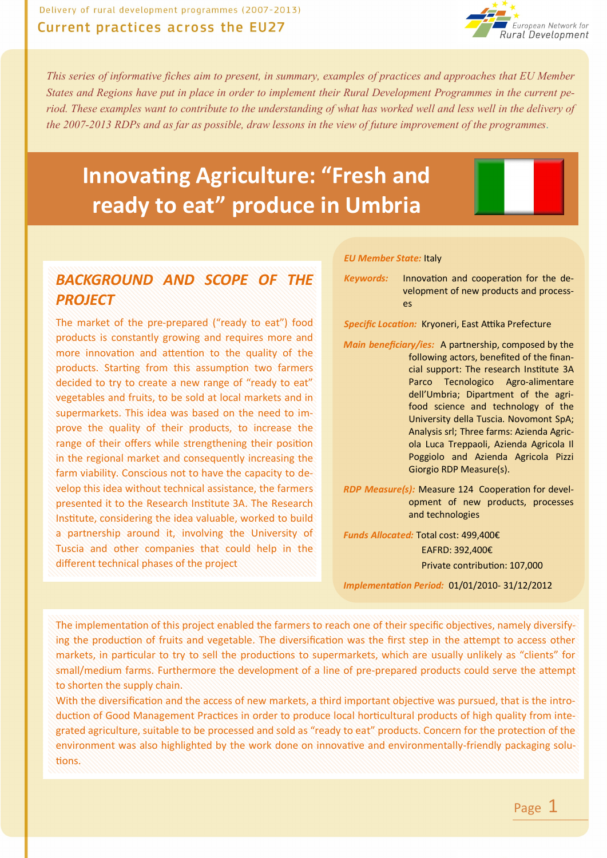

*This series of informative fiches aim to present, in summary, examples of practices and approaches that EU Member States and Regions have put in place in order to implement their Rural Development Programmes in the current period. These examples want to contribute to the understanding of what has worked well and less well in the delivery of the 2007-2013 RDPs and as far as possible, draw lessons in the view of future improvement of the programmes.*

# **Innovating Agriculture: "Fresh and ready to eat" produce in Umbria**

#### *BACKGROUND AND SCOPE OF THE PROJECT*

The market of the pre-prepared ("ready to eat") food products is constantly growing and requires more and more innovation and attention to the quality of the products. Starting from this assumption two farmers decided to try to create a new range of "ready to eat" vegetables and fruits, to be sold at local markets and in supermarkets. This idea was based on the need to improve the quality of their products, to increase the range of their offers while strengthening their position in the regional market and consequently increasing the farm viability. Conscious not to have the capacity to develop this idea without technical assistance, the farmers presented it to the Research Institute 3A. The Research Institute, considering the idea valuable, worked to build a partnership around it, involving the University of Tuscia and other companies that could help in the different technical phases of the project

#### *EU Member State:* Italy

*Keywords:* Innovation and cooperation for the development of new products and processes

*Specific Location:* Kryoneri, East Attika Prefecture

*Main beneficiary/ies:* A partnership, composed by the following actors, benefited of the financial support: The research Institute 3A Parco Tecnologico Agro-alimentare dell'Umbria; Dipartment of the agrifood science and technology of the University della Tuscia. Novomont SpA; Analysis srl; Three farms: Azienda Agricola Luca Treppaoli, Azienda Agricola Il Poggiolo and Azienda Agricola Pizzi Giorgio RDP Measure(s).

*RDP Measure(s):* Measure 124 Cooperation for development of new products, processes and technologies

*Funds Allocated:* Total cost: 499,400€ EAFRD: 392,400€ Private contribution: 107,000

*Implementation Period:* 01/01/2010- 31/12/2012

The implementation of this project enabled the farmers to reach one of their specific objectives, namely diversifying the production of fruits and vegetable. The diversification was the first step in the attempt to access other markets, in particular to try to sell the productions to supermarkets, which are usually unlikely as "clients" for small/medium farms. Furthermore the development of a line of pre-prepared products could serve the attempt to shorten the supply chain.

With the diversification and the access of new markets, a third important objective was pursued, that is the introduction of Good Management Practices in order to produce local horticultural products of high quality from integrated agriculture, suitable to be processed and sold as "ready to eat" products. Concern for the protection of the environment was also highlighted by the work done on innovative and environmentally-friendly packaging solutions.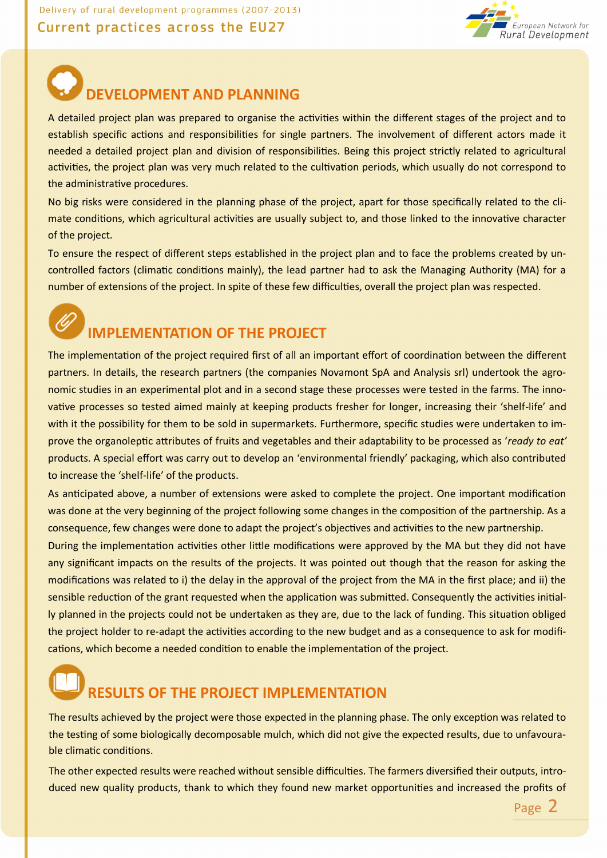Delivery of rural development programmes (2007-2013)

#### Current practices across the EU27



## **DEVELOPMENT AND PLANNING**

A detailed project plan was prepared to organise the activities within the different stages of the project and to establish specific actions and responsibilities for single partners. The involvement of different actors made it needed a detailed project plan and division of responsibilities. Being this project strictly related to agricultural activities, the project plan was very much related to the cultivation periods, which usually do not correspond to the administrative procedures.

No big risks were considered in the planning phase of the project, apart for those specifically related to the climate conditions, which agricultural activities are usually subject to, and those linked to the innovative character of the project.

To ensure the respect of different steps established in the project plan and to face the problems created by uncontrolled factors (climatic conditions mainly), the lead partner had to ask the Managing Authority (MA) for a number of extensions of the project. In spite of these few difficulties, overall the project plan was respected.



### **IMPLEMENTATION OF THE PROJECT**

The implementation of the project required first of all an important effort of coordination between the different partners. In details, the research partners (the companies Novamont SpA and Analysis srl) undertook the agronomic studies in an experimental plot and in a second stage these processes were tested in the farms. The innovative processes so tested aimed mainly at keeping products fresher for longer, increasing their 'shelf-life' and with it the possibility for them to be sold in supermarkets. Furthermore, specific studies were undertaken to improve the organoleptic attributes of fruits and vegetables and their adaptability to be processed as '*ready to eat'* products. A special effort was carry out to develop an 'environmental friendly' packaging, which also contributed to increase the 'shelf-life' of the products.

As anticipated above, a number of extensions were asked to complete the project. One important modification was done at the very beginning of the project following some changes in the composition of the partnership. As a consequence, few changes were done to adapt the project's objectives and activities to the new partnership.

During the implementation activities other little modifications were approved by the MA but they did not have any significant impacts on the results of the projects. It was pointed out though that the reason for asking the modifications was related to i) the delay in the approval of the project from the MA in the first place; and ii) the sensible reduction of the grant requested when the application was submitted. Consequently the activities initially planned in the projects could not be undertaken as they are, due to the lack of funding. This situation obliged the project holder to re-adapt the activities according to the new budget and as a consequence to ask for modifications, which become a needed condition to enable the implementation of the project.

# **RESULTS OF THE PROJECT IMPLEMENTATION**

The results achieved by the project were those expected in the planning phase. The only exception was related to the testing of some biologically decomposable mulch, which did not give the expected results, due to unfavourable climatic conditions.

The other expected results were reached without sensible difficulties. The farmers diversified their outputs, introduced new quality products, thank to which they found new market opportunities and increased the profits of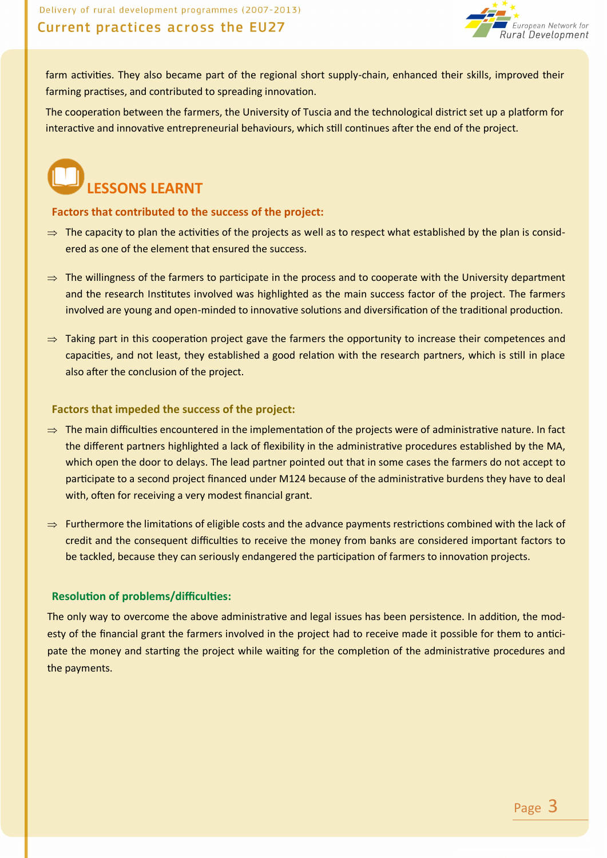

farm activities. They also became part of the regional short supply-chain, enhanced their skills, improved their farming practises, and contributed to spreading innovation.

The cooperation between the farmers, the University of Tuscia and the technological district set up a platform for interactive and innovative entrepreneurial behaviours, which still continues after the end of the project.



#### **Factors that contributed to the success of the project:**

- $\Rightarrow$  The capacity to plan the activities of the projects as well as to respect what established by the plan is considered as one of the element that ensured the success.
- $\Rightarrow$  The willingness of the farmers to participate in the process and to cooperate with the University department and the research Institutes involved was highlighted as the main success factor of the project. The farmers involved are young and open-minded to innovative solutions and diversification of the traditional production.
- $\Rightarrow$  Taking part in this cooperation project gave the farmers the opportunity to increase their competences and capacities, and not least, they established a good relation with the research partners, which is still in place also after the conclusion of the project.

#### **Factors that impeded the success of the project:**

- $\Rightarrow$  The main difficulties encountered in the implementation of the projects were of administrative nature. In fact the different partners highlighted a lack of flexibility in the administrative procedures established by the MA, which open the door to delays. The lead partner pointed out that in some cases the farmers do not accept to participate to a second project financed under M124 because of the administrative burdens they have to deal with, often for receiving a very modest financial grant.
- $\Rightarrow$  Furthermore the limitations of eligible costs and the advance payments restrictions combined with the lack of credit and the consequent difficulties to receive the money from banks are considered important factors to be tackled, because they can seriously endangered the participation of farmers to innovation projects.

#### **Resolution of problems/difficulties:**

The only way to overcome the above administrative and legal issues has been persistence. In addition, the modesty of the financial grant the farmers involved in the project had to receive made it possible for them to anticipate the money and starting the project while waiting for the completion of the administrative procedures and the payments.